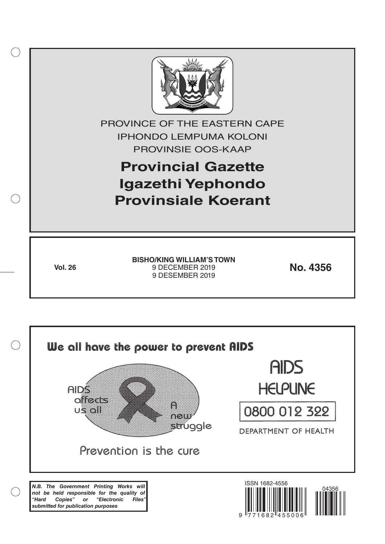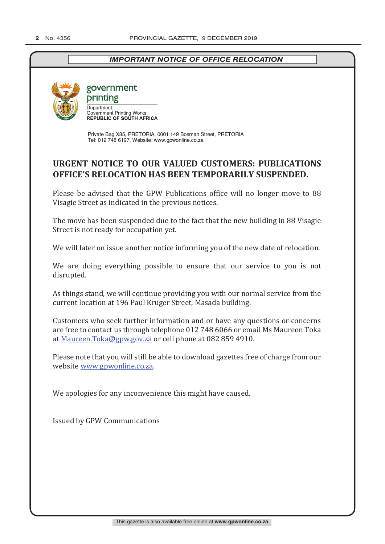## *IMPORTANT NOTICE OF OFFICE RELOCATION*



government printing Department: **Government Printing Works<br>REPUBLIC OF SOUTH AFRICA** 

Private Bag X85, PRETORIA, 0001 149 Bosman Street, PRETORIA Tel: 012 748 6197, Website: www.gpwonline.co.za

## **URGENT NOTICE TO OUR VALUED CUSTOMERS: PUBLICATIONS OFFICE'S RELOCATION HAS BEEN TEMPORARILY SUSPENDED.**

Please be advised that the GPW Publications office will no longer move to 88 Visagie Street as indicated in the previous notices.

The move has been suspended due to the fact that the new building in 88 Visagie Street is not ready for occupation yet.

We will later on issue another notice informing you of the new date of relocation.

We are doing everything possible to ensure that our service to you is not disrupted.

As things stand, we will continue providing you with our normal service from the current location at 196 Paul Kruger Street, Masada building.

Customers who seek further information and or have any questions or concerns are free to contact us through telephone 012 748 6066 or email Ms Maureen Toka at Maureen.Toka@gpw.gov.za or cell phone at 082 859 4910.

Please note that you will still be able to download gazettes free of charge from our website www.gpwonline.co.za.

We apologies for any inconvenience this might have caused.

Issued by GPW Communications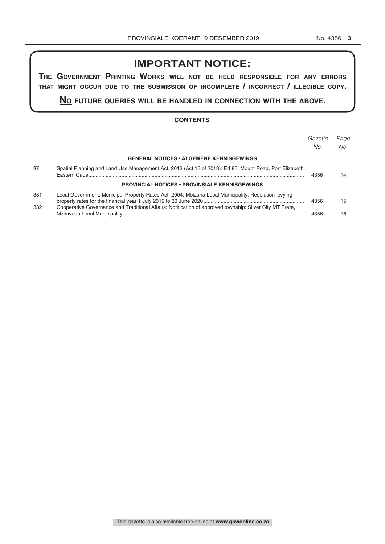## **IMPORTANT NOTICE:**

**The GovernmenT PrinTinG Works Will noT be held resPonsible for any errors ThaT miGhT occur due To The submission of incomPleTe / incorrecT / illeGible coPy.**

**no fuTure queries Will be handled in connecTion WiTh The above.**

#### **CONTENTS**

|            |                                                                                                          | Gazette<br>No. | Page<br>No. |
|------------|----------------------------------------------------------------------------------------------------------|----------------|-------------|
|            | <b>GENERAL NOTICES • ALGEMENE KENNISGEWINGS</b>                                                          |                |             |
| 37         | Spatial Planning and Land Use Management Act, 2013 (Act 16 of 2013): Erf 86, Mount Road, Port Elizabeth, | 4356           | 14          |
|            | <b>PROVINCIAL NOTICES • PROVINSIALE KENNISGEWINGS</b>                                                    |                |             |
| 331<br>332 | Local Government: Municipal Property Rates Act, 2004: Mbizana Local Municipality: Resolution levying     | 4356           | 15          |
|            | Cooperative Governance and Traditional Affairs: Notification of approved township: Silver City MT Frere, | 4356           | 16          |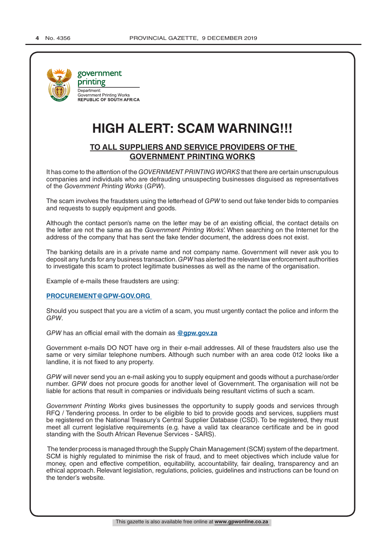

government printing Department:<br>Government Printing Works **REPUBLIC OF SOUTH AFRICA** 

# **HIGH ALERT: SCAM WARNING!!!**

## **TO ALL SUPPLIERS AND SERVICE PROVIDERS OF THE GOVERNMENT PRINTING WORKS**

It has come to the attention of the *GOVERNMENT PRINTING WORKS* that there are certain unscrupulous companies and individuals who are defrauding unsuspecting businesses disguised as representatives of the *Government Printing Works* (*GPW*).

The scam involves the fraudsters using the letterhead of *GPW* to send out fake tender bids to companies and requests to supply equipment and goods.

Although the contact person's name on the letter may be of an existing official, the contact details on the letter are not the same as the *Government Printing Works*'. When searching on the Internet for the address of the company that has sent the fake tender document, the address does not exist.

The banking details are in a private name and not company name. Government will never ask you to deposit any funds for any business transaction. *GPW* has alerted the relevant law enforcement authorities to investigate this scam to protect legitimate businesses as well as the name of the organisation.

Example of e-mails these fraudsters are using:

#### **PROCUREMENT@GPW-GOV.ORG**

Should you suspect that you are a victim of a scam, you must urgently contact the police and inform the *GPW*.

*GPW* has an official email with the domain as **@gpw.gov.za**

Government e-mails DO NOT have org in their e-mail addresses. All of these fraudsters also use the same or very similar telephone numbers. Although such number with an area code 012 looks like a landline, it is not fixed to any property.

*GPW* will never send you an e-mail asking you to supply equipment and goods without a purchase/order number. *GPW* does not procure goods for another level of Government. The organisation will not be liable for actions that result in companies or individuals being resultant victims of such a scam.

*Government Printing Works* gives businesses the opportunity to supply goods and services through RFQ / Tendering process. In order to be eligible to bid to provide goods and services, suppliers must be registered on the National Treasury's Central Supplier Database (CSD). To be registered, they must meet all current legislative requirements (e.g. have a valid tax clearance certificate and be in good standing with the South African Revenue Services - SARS).

 The tender process is managed through the Supply Chain Management (SCM) system of the department. SCM is highly regulated to minimise the risk of fraud, and to meet objectives which include value for money, open and effective competition, equitability, accountability, fair dealing, transparency and an ethical approach. Relevant legislation, regulations, policies, guidelines and instructions can be found on the tender's website.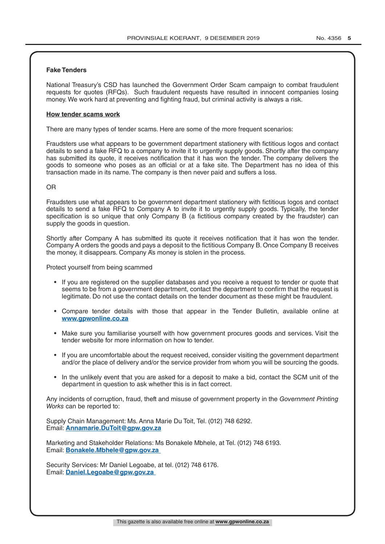#### **Fake Tenders**

National Treasury's CSD has launched the Government Order Scam campaign to combat fraudulent requests for quotes (RFQs). Such fraudulent requests have resulted in innocent companies losing money. We work hard at preventing and fighting fraud, but criminal activity is always a risk.

#### **How tender scams work**

There are many types of tender scams. Here are some of the more frequent scenarios:

Fraudsters use what appears to be government department stationery with fictitious logos and contact details to send a fake RFQ to a company to invite it to urgently supply goods. Shortly after the company has submitted its quote, it receives notification that it has won the tender. The company delivers the goods to someone who poses as an official or at a fake site. The Department has no idea of this transaction made in its name. The company is then never paid and suffers a loss.

#### OR

Fraudsters use what appears to be government department stationery with fictitious logos and contact details to send a fake RFQ to Company A to invite it to urgently supply goods. Typically, the tender specification is so unique that only Company B (a fictitious company created by the fraudster) can supply the goods in question.

Shortly after Company A has submitted its quote it receives notification that it has won the tender. Company A orders the goods and pays a deposit to the fictitious Company B. Once Company B receives the money, it disappears. Company A's money is stolen in the process.

Protect yourself from being scammed

- If you are registered on the supplier databases and you receive a request to tender or quote that seems to be from a government department, contact the department to confirm that the request is legitimate. Do not use the contact details on the tender document as these might be fraudulent.
- Compare tender details with those that appear in the Tender Bulletin, available online at **www.gpwonline.co.za**
- Make sure you familiarise yourself with how government procures goods and services. Visit the tender website for more information on how to tender.
- If you are uncomfortable about the request received, consider visiting the government department and/or the place of delivery and/or the service provider from whom you will be sourcing the goods.
- In the unlikely event that you are asked for a deposit to make a bid, contact the SCM unit of the department in question to ask whether this is in fact correct.

Any incidents of corruption, fraud, theft and misuse of government property in the *Government Printing Works* can be reported to:

Supply Chain Management: Ms. Anna Marie Du Toit, Tel. (012) 748 6292. Email: **Annamarie.DuToit@gpw.gov.za**

Marketing and Stakeholder Relations: Ms Bonakele Mbhele, at Tel. (012) 748 6193. Email: **Bonakele.Mbhele@gpw.gov.za** 

Security Services: Mr Daniel Legoabe, at tel. (012) 748 6176. Email: **Daniel.Legoabe@gpw.gov.za**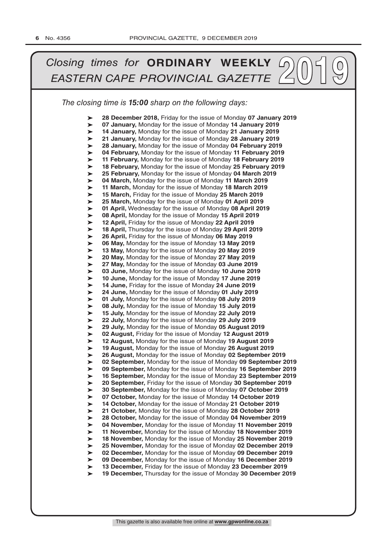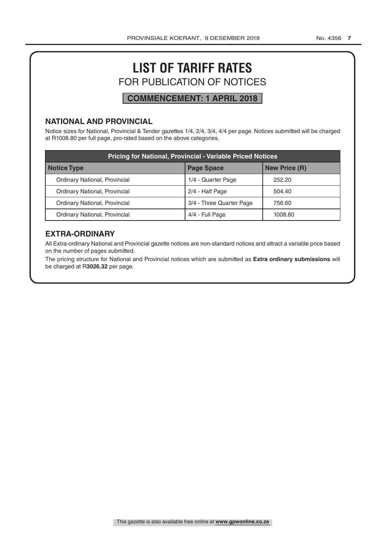# **LIST OF TARIFF RATES** FOR PUBLICATION OF NOTICES

**COMMENCEMENT: 1 APRIL 2018**

## **NATIONAL AND PROVINCIAL**

Notice sizes for National, Provincial & Tender gazettes 1/4, 2/4, 3/4, 4/4 per page. Notices submitted will be charged at R1008.80 per full page, pro-rated based on the above categories.

| <b>Pricing for National, Provincial - Variable Priced Notices</b> |                          |                      |  |
|-------------------------------------------------------------------|--------------------------|----------------------|--|
| <b>Notice Type</b>                                                | <b>Page Space</b>        | <b>New Price (R)</b> |  |
| Ordinary National, Provincial                                     | 1/4 - Quarter Page       | 252.20               |  |
| Ordinary National, Provincial                                     | 2/4 - Half Page          | 504.40               |  |
| Ordinary National, Provincial                                     | 3/4 - Three Quarter Page | 756.60               |  |
| Ordinary National, Provincial                                     | 4/4 - Full Page          | 1008.80              |  |

## **EXTRA-ORDINARY**

All Extra-ordinary National and Provincial gazette notices are non-standard notices and attract a variable price based on the number of pages submitted.

The pricing structure for National and Provincial notices which are submitted as **Extra ordinary submissions** will be charged at R**3026.32** per page.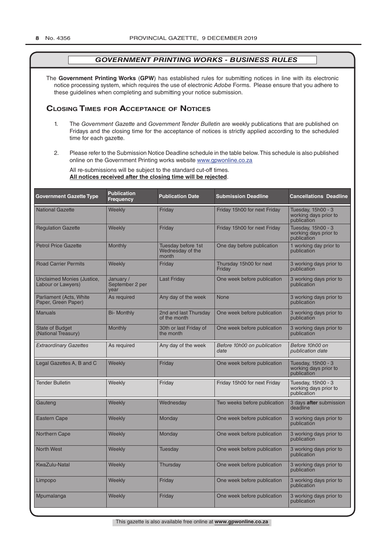The **Government Printing Works** (**GPW**) has established rules for submitting notices in line with its electronic notice processing system, which requires the use of electronic *Adobe* Forms. Please ensure that you adhere to these guidelines when completing and submitting your notice submission.

#### **Closing Times for ACCepTAnCe of noTiCes**

- 1. The *Government Gazette* and *Government Tender Bulletin* are weekly publications that are published on Fridays and the closing time for the acceptance of notices is strictly applied according to the scheduled time for each gazette.
- 2. Please refer to the Submission Notice Deadline schedule in the table below. This schedule is also published online on the Government Printing works website www.gpwonline.co.za

All re-submissions will be subject to the standard cut-off times. **All notices received after the closing time will be rejected**.

| <b>Government Gazette Type</b>                   | <b>Publication</b><br><b>Frequency</b> | <b>Publication Date</b>                         | <b>Submission Deadline</b>          | <b>Cancellations Deadline</b>                              |
|--------------------------------------------------|----------------------------------------|-------------------------------------------------|-------------------------------------|------------------------------------------------------------|
| <b>National Gazette</b>                          | Weekly                                 | Friday                                          | Friday 15h00 for next Friday        | Tuesday, 15h00 - 3<br>working days prior to<br>publication |
| <b>Regulation Gazette</b>                        | Weekly                                 | Friday                                          | Friday 15h00 for next Friday        | Tuesday, 15h00 - 3<br>working days prior to<br>publication |
| <b>Petrol Price Gazette</b>                      | Monthly                                | Tuesday before 1st<br>Wednesday of the<br>month | One day before publication          | 1 working day prior to<br>publication                      |
| <b>Road Carrier Permits</b>                      | Weekly                                 | Friday                                          | Thursday 15h00 for next<br>Friday   | 3 working days prior to<br>publication                     |
| Unclaimed Monies (Justice,<br>Labour or Lawyers) | January /<br>September 2 per<br>year   | <b>Last Friday</b>                              | One week before publication         | 3 working days prior to<br>publication                     |
| Parliament (Acts, White<br>Paper, Green Paper)   | As required                            | Any day of the week                             | None                                | 3 working days prior to<br>publication                     |
| <b>Manuals</b>                                   | <b>Bi- Monthly</b>                     | 2nd and last Thursday<br>of the month           | One week before publication         | 3 working days prior to<br>publication                     |
| <b>State of Budget</b><br>(National Treasury)    | <b>Monthly</b>                         | 30th or last Friday of<br>the month             | One week before publication         | 3 working days prior to<br>publication                     |
| <b>Extraordinary Gazettes</b>                    | As required                            | Any day of the week                             | Before 10h00 on publication<br>date | Before 10h00 on<br>publication date                        |
| Legal Gazettes A, B and C                        | Weekly                                 | Friday                                          | One week before publication         | Tuesday, 15h00 - 3<br>working days prior to<br>publication |
| <b>Tender Bulletin</b>                           | Weekly                                 | Friday                                          | Friday 15h00 for next Friday        | Tuesday, 15h00 - 3<br>working days prior to<br>publication |
| Gauteng                                          | Weekly                                 | Wednesday                                       | Two weeks before publication        | 3 days after submission<br>deadline                        |
| Eastern Cape                                     | Weekly                                 | Monday                                          | One week before publication         | 3 working days prior to<br>publication                     |
| <b>Northern Cape</b>                             | Weekly                                 | Monday                                          | One week before publication         | 3 working days prior to<br>publication                     |
| <b>North West</b>                                | Weekly                                 | <b>Tuesday</b>                                  | One week before publication         | 3 working days prior to<br>publication                     |
| KwaZulu-Natal                                    | Weekly                                 | Thursday                                        | One week before publication         | 3 working days prior to<br>publication                     |
| Limpopo                                          | Weekly                                 | Friday                                          | One week before publication         | 3 working days prior to<br>publication                     |
| Mpumalanga                                       | Weekly                                 | Friday                                          | One week before publication         | 3 working days prior to<br>publication                     |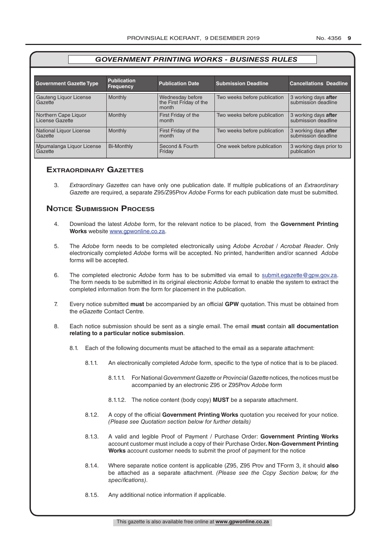| <b>Government Gazette Type</b>          | <b>Publication</b><br><b>Frequency</b> | <b>Publication Date</b>                              | <b>Submission Deadline</b>   | <b>Cancellations Deadline</b>               |
|-----------------------------------------|----------------------------------------|------------------------------------------------------|------------------------------|---------------------------------------------|
| Gauteng Liquor License<br>Gazette       | <b>Monthly</b>                         | Wednesday before<br>the First Friday of the<br>month | Two weeks before publication | 3 working days after<br>submission deadline |
| Northern Cape Liquor<br>License Gazette | <b>Monthly</b>                         | First Friday of the<br>month                         | Two weeks before publication | 3 working days after<br>submission deadline |
| National Liquor License<br>Gazette      | <b>Monthly</b>                         | First Friday of the<br>month                         | Two weeks before publication | 3 working days after<br>submission deadline |
| Mpumalanga Liguor License<br>Gazette    | <b>Bi-Monthly</b>                      | Second & Fourth<br>Friday                            | One week before publication  | 3 working days prior to<br>publication      |

## **exTrAordinAry gAzeTTes**

3. *Extraordinary Gazettes* can have only one publication date. If multiple publications of an *Extraordinary Gazette* are required, a separate Z95/Z95Prov *Adobe* Forms for each publication date must be submitted.

## **NOTICE SUBMISSION PROCESS**

- 4. Download the latest *Adobe* form, for the relevant notice to be placed, from the **Government Printing Works** website www.gpwonline.co.za.
- 5. The *Adobe* form needs to be completed electronically using *Adobe Acrobat* / *Acrobat Reader*. Only electronically completed *Adobe* forms will be accepted. No printed, handwritten and/or scanned *Adobe* forms will be accepted.
- 6. The completed electronic *Adobe* form has to be submitted via email to submit.egazette@gpw.gov.za. The form needs to be submitted in its original electronic *Adobe* format to enable the system to extract the completed information from the form for placement in the publication.
- 7. Every notice submitted **must** be accompanied by an official **GPW** quotation. This must be obtained from the *eGazette* Contact Centre.
- 8. Each notice submission should be sent as a single email. The email **must** contain **all documentation relating to a particular notice submission**.
	- 8.1. Each of the following documents must be attached to the email as a separate attachment:
		- 8.1.1. An electronically completed *Adobe* form, specific to the type of notice that is to be placed.
			- 8.1.1.1. For National *Government Gazette* or *Provincial Gazette* notices, the notices must be accompanied by an electronic Z95 or Z95Prov *Adobe* form
			- 8.1.1.2. The notice content (body copy) **MUST** be a separate attachment.
		- 8.1.2. A copy of the official **Government Printing Works** quotation you received for your notice. *(Please see Quotation section below for further details)*
		- 8.1.3. A valid and legible Proof of Payment / Purchase Order: **Government Printing Works** account customer must include a copy of their Purchase Order*.* **Non**-**Government Printing Works** account customer needs to submit the proof of payment for the notice
		- 8.1.4. Where separate notice content is applicable (Z95, Z95 Prov and TForm 3, it should **also** be attached as a separate attachment. *(Please see the Copy Section below, for the specifications)*.
		- 8.1.5. Any additional notice information if applicable.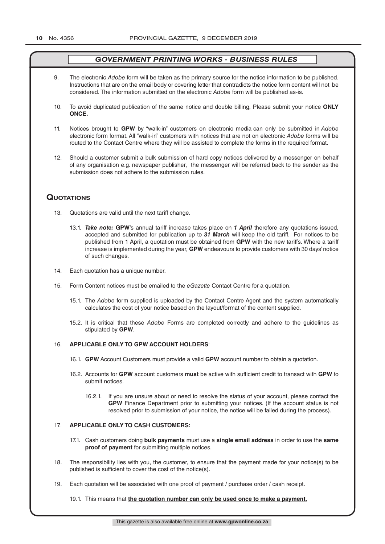- 9. The electronic *Adobe* form will be taken as the primary source for the notice information to be published. Instructions that are on the email body or covering letter that contradicts the notice form content will not be considered. The information submitted on the electronic *Adobe* form will be published as-is.
- 10. To avoid duplicated publication of the same notice and double billing, Please submit your notice **ONLY ONCE.**
- 11. Notices brought to **GPW** by "walk-in" customers on electronic media can only be submitted in *Adobe* electronic form format. All "walk-in" customers with notices that are not on electronic *Adobe* forms will be routed to the Contact Centre where they will be assisted to complete the forms in the required format.
- 12. Should a customer submit a bulk submission of hard copy notices delivered by a messenger on behalf of any organisation e.g. newspaper publisher, the messenger will be referred back to the sender as the submission does not adhere to the submission rules.

## **QuoTATions**

- 13. Quotations are valid until the next tariff change.
	- 13.1. *Take note:* **GPW**'s annual tariff increase takes place on *1 April* therefore any quotations issued, accepted and submitted for publication up to *31 March* will keep the old tariff. For notices to be published from 1 April, a quotation must be obtained from **GPW** with the new tariffs. Where a tariff increase is implemented during the year, **GPW** endeavours to provide customers with 30 days' notice of such changes.
- 14. Each quotation has a unique number.
- 15. Form Content notices must be emailed to the *eGazette* Contact Centre for a quotation.
	- 15.1. The *Adobe* form supplied is uploaded by the Contact Centre Agent and the system automatically calculates the cost of your notice based on the layout/format of the content supplied.
	- 15.2. It is critical that these *Adobe* Forms are completed correctly and adhere to the guidelines as stipulated by **GPW**.

#### 16. **APPLICABLE ONLY TO GPW ACCOUNT HOLDERS**:

- 16.1. **GPW** Account Customers must provide a valid **GPW** account number to obtain a quotation.
- 16.2. Accounts for **GPW** account customers **must** be active with sufficient credit to transact with **GPW** to submit notices.
	- 16.2.1. If you are unsure about or need to resolve the status of your account, please contact the **GPW** Finance Department prior to submitting your notices. (If the account status is not resolved prior to submission of your notice, the notice will be failed during the process).

#### 17. **APPLICABLE ONLY TO CASH CUSTOMERS:**

- 17.1. Cash customers doing **bulk payments** must use a **single email address** in order to use the **same proof of payment** for submitting multiple notices.
- 18. The responsibility lies with you, the customer, to ensure that the payment made for your notice(s) to be published is sufficient to cover the cost of the notice(s).
- 19. Each quotation will be associated with one proof of payment / purchase order / cash receipt.

#### 19.1. This means that **the quotation number can only be used once to make a payment.**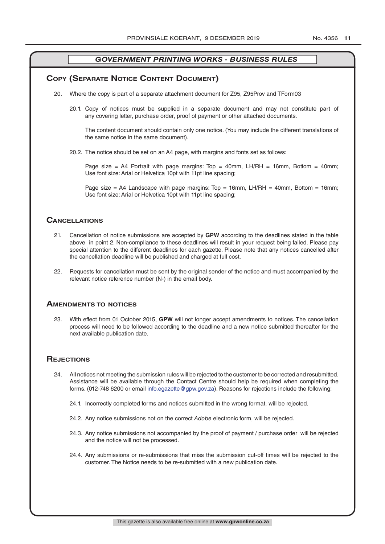#### **COPY (SEPARATE NOTICE CONTENT DOCUMENT)**

- 20. Where the copy is part of a separate attachment document for Z95, Z95Prov and TForm03
	- 20.1. Copy of notices must be supplied in a separate document and may not constitute part of any covering letter, purchase order, proof of payment or other attached documents.

The content document should contain only one notice. (You may include the different translations of the same notice in the same document).

20.2. The notice should be set on an A4 page, with margins and fonts set as follows:

Page size = A4 Portrait with page margins: Top = 40mm, LH/RH = 16mm, Bottom = 40mm; Use font size: Arial or Helvetica 10pt with 11pt line spacing;

Page size = A4 Landscape with page margins:  $Top = 16mm$ , LH/RH = 40mm, Bottom = 16mm; Use font size: Arial or Helvetica 10pt with 11pt line spacing;

#### **CAnCellATions**

- 21. Cancellation of notice submissions are accepted by **GPW** according to the deadlines stated in the table above in point 2. Non-compliance to these deadlines will result in your request being failed. Please pay special attention to the different deadlines for each gazette. Please note that any notices cancelled after the cancellation deadline will be published and charged at full cost.
- 22. Requests for cancellation must be sent by the original sender of the notice and must accompanied by the relevant notice reference number (N-) in the email body.

#### **AmendmenTs To noTiCes**

23. With effect from 01 October 2015, **GPW** will not longer accept amendments to notices. The cancellation process will need to be followed according to the deadline and a new notice submitted thereafter for the next available publication date.

#### **REJECTIONS**

- 24. All notices not meeting the submission rules will be rejected to the customer to be corrected and resubmitted. Assistance will be available through the Contact Centre should help be required when completing the forms. (012-748 6200 or email info.egazette@gpw.gov.za). Reasons for rejections include the following:
	- 24.1. Incorrectly completed forms and notices submitted in the wrong format, will be rejected.
	- 24.2. Any notice submissions not on the correct *Adobe* electronic form, will be rejected.
	- 24.3. Any notice submissions not accompanied by the proof of payment / purchase order will be rejected and the notice will not be processed.
	- 24.4. Any submissions or re-submissions that miss the submission cut-off times will be rejected to the customer. The Notice needs to be re-submitted with a new publication date.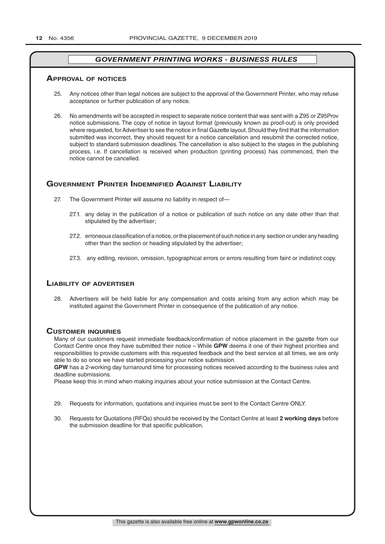#### **ApprovAl of noTiCes**

- 25. Any notices other than legal notices are subject to the approval of the Government Printer, who may refuse acceptance or further publication of any notice.
- 26. No amendments will be accepted in respect to separate notice content that was sent with a Z95 or Z95Prov notice submissions. The copy of notice in layout format (previously known as proof-out) is only provided where requested, for Advertiser to see the notice in final Gazette layout. Should they find that the information submitted was incorrect, they should request for a notice cancellation and resubmit the corrected notice, subject to standard submission deadlines. The cancellation is also subject to the stages in the publishing process, i.e. If cancellation is received when production (printing process) has commenced, then the notice cannot be cancelled.

## **governmenT prinTer indemnified AgAinsT liAbiliTy**

- 27. The Government Printer will assume no liability in respect of—
	- 27.1. any delay in the publication of a notice or publication of such notice on any date other than that stipulated by the advertiser;
	- 27.2. erroneous classification of a notice, or the placement of such notice in any section or under any heading other than the section or heading stipulated by the advertiser;
	- 27.3. any editing, revision, omission, typographical errors or errors resulting from faint or indistinct copy.

#### **liAbiliTy of AdverTiser**

28. Advertisers will be held liable for any compensation and costs arising from any action which may be instituted against the Government Printer in consequence of the publication of any notice.

#### **CusTomer inQuiries**

Many of our customers request immediate feedback/confirmation of notice placement in the gazette from our Contact Centre once they have submitted their notice – While **GPW** deems it one of their highest priorities and responsibilities to provide customers with this requested feedback and the best service at all times, we are only able to do so once we have started processing your notice submission.

**GPW** has a 2-working day turnaround time for processing notices received according to the business rules and deadline submissions.

Please keep this in mind when making inquiries about your notice submission at the Contact Centre.

- 29. Requests for information, quotations and inquiries must be sent to the Contact Centre ONLY.
- 30. Requests for Quotations (RFQs) should be received by the Contact Centre at least **2 working days** before the submission deadline for that specific publication.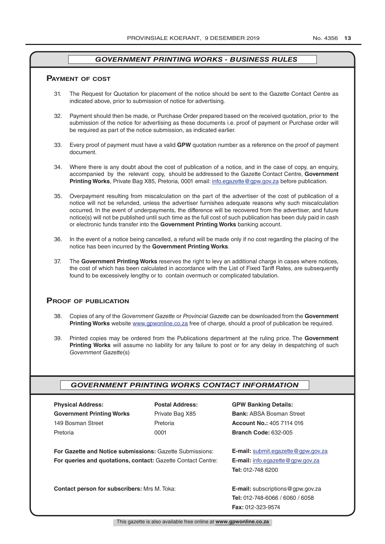#### **pAymenT of CosT**

- 31. The Request for Quotation for placement of the notice should be sent to the Gazette Contact Centre as indicated above, prior to submission of notice for advertising.
- 32. Payment should then be made, or Purchase Order prepared based on the received quotation, prior to the submission of the notice for advertising as these documents i.e. proof of payment or Purchase order will be required as part of the notice submission, as indicated earlier.
- 33. Every proof of payment must have a valid **GPW** quotation number as a reference on the proof of payment document.
- 34. Where there is any doubt about the cost of publication of a notice, and in the case of copy, an enquiry, accompanied by the relevant copy, should be addressed to the Gazette Contact Centre, **Government Printing Works**, Private Bag X85, Pretoria, 0001 email: info.egazette@gpw.gov.za before publication.
- 35. Overpayment resulting from miscalculation on the part of the advertiser of the cost of publication of a notice will not be refunded, unless the advertiser furnishes adequate reasons why such miscalculation occurred. In the event of underpayments, the difference will be recovered from the advertiser, and future notice(s) will not be published until such time as the full cost of such publication has been duly paid in cash or electronic funds transfer into the **Government Printing Works** banking account.
- 36. In the event of a notice being cancelled, a refund will be made only if no cost regarding the placing of the notice has been incurred by the **Government Printing Works**.
- 37. The **Government Printing Works** reserves the right to levy an additional charge in cases where notices, the cost of which has been calculated in accordance with the List of Fixed Tariff Rates, are subsequently found to be excessively lengthy or to contain overmuch or complicated tabulation.

#### **proof of publiCATion**

- 38. Copies of any of the *Government Gazette* or *Provincial Gazette* can be downloaded from the **Government Printing Works** website www.gpwonline.co.za free of charge, should a proof of publication be required.
- 39. Printed copies may be ordered from the Publications department at the ruling price. The **Government Printing Works** will assume no liability for any failure to post or for any delay in despatching of such *Government Gazette*(s)

#### *GOVERNMENT PRINTING WORKS CONTACT INFORMATION*

| <b>Physical Address:</b>                                            | <b>Postal Address:</b>                    | <b>GPW Banking Details:</b>                 |
|---------------------------------------------------------------------|-------------------------------------------|---------------------------------------------|
| <b>Government Printing Works</b>                                    | Private Bag X85                           | <b>Bank: ABSA Bosman Street</b>             |
| 149 Bosman Street                                                   | Pretoria                                  | <b>Account No.: 405 7114 016</b>            |
| Pretoria                                                            | 0001                                      | <b>Branch Code: 632-005</b>                 |
| For Gazette and Notice submissions: Gazette Submissions:            | <b>E-mail:</b> submit.eqazette@gpw.gov.za |                                             |
| <b>For queries and quotations, contact: Gazette Contact Centre:</b> |                                           | <b>E-mail:</b> info.egazette@gpw.gov.za     |
|                                                                     |                                           | <b>Tel: 012-748 6200</b>                    |
| <b>Contact person for subscribers: Mrs M. Toka:</b>                 |                                           | <b>E-mail:</b> subscriptions $@$ gpw.gov.za |
|                                                                     |                                           | Tel: 012-748-6066 / 6060 / 6058             |
|                                                                     |                                           | <b>Fax: 012-323-9574</b>                    |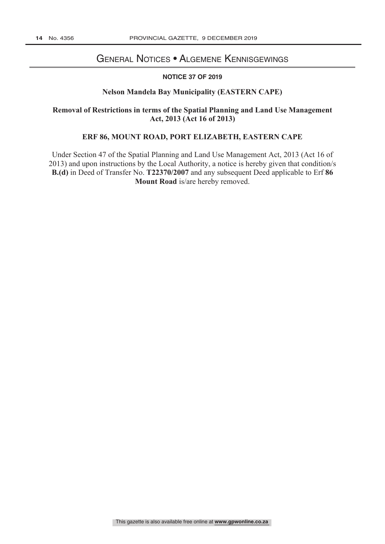# General Notices • Algemene Kennisgewings

## **NOTICE 37 OF 2019**

#### **Nelson Mandela Bay Municipality (EASTERN CAPE)**

## **Removal of Restrictions in terms of the Spatial Planning and Land Use Management Act, 2013 (Act 16 of 2013)**

## **ERF 86, MOUNT ROAD, PORT ELIZABETH, EASTERN CAPE**

Under Section 47 of the Spatial Planning and Land Use Management Act, 2013 (Act 16 of 2013) and upon instructions by the Local Authority, a notice is hereby given that condition/s **B.(d)** in Deed of Transfer No. **T22370/2007** and any subsequent Deed applicable to Erf **86 Mount Road** is/are hereby removed.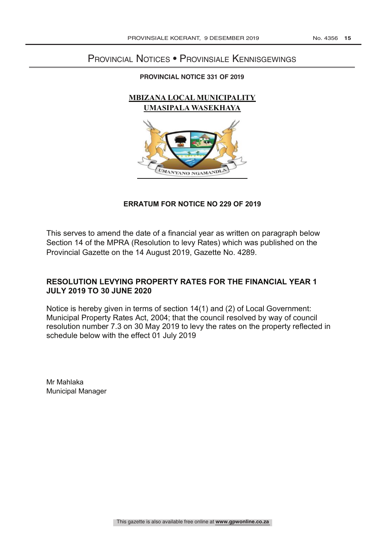# Provincial Notices • Provinsiale Kennisgewings

## **PROVINCIAL NOTICE 331 OF 2019**

## **MBIZANA LOCAL MUNICIPALITY UMASIPALA WASEKHAYA**



## **ERRATUM FOR NOTICE NO 229 OF 2019**

This serves to amend the date of a financial year as written on paragraph below Section 14 of the MPRA (Resolution to levy Rates) which was published on the Provincial Gazette on the 14 August 2019, Gazette No. 4289.

## **RESOLUTION LEVYING PROPERTY RATES FOR THE FINANCIAL YEAR 1 JULY 2019 TO 30 JUNE 2020**

Notice is hereby given in terms of section 14(1) and (2) of Local Government: Municipal Property Rates Act, 2004; that the council resolved by way of council resolution number 7.3 on 30 May 2019 to levy the rates on the property reflected in schedule below with the effect 01 July 2019

Mr Mahlaka Municipal Manager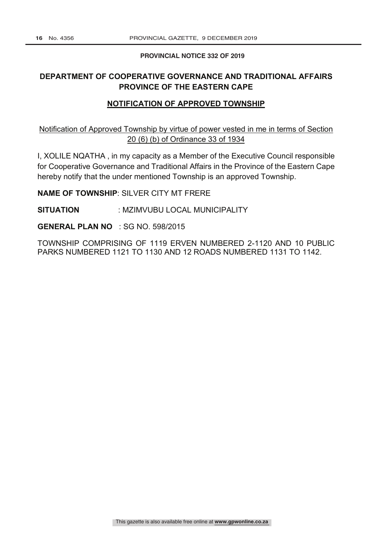#### **PROVINCIAL NOTICE 332 OF 2019**

## **DEPARTMENT OF COOPERATIVE GOVERNANCE AND TRADITIONAL AFFAIRS PROVINCE OF THE EASTERN CAPE**

## **NOTIFICATION OF APPROVED TOWNSHIP**

Notification of Approved Township by virtue of power vested in me in terms of Section 20 (6) (b) of Ordinance 33 of 1934

I, XOLILE NQATHA , in my capacity as a Member of the Executive Council responsible for Cooperative Governance and Traditional Affairs in the Province of the Eastern Cape hereby notify that the under mentioned Township is an approved Township.

**NAME OF TOWNSHIP**: SILVER CITY MT FRERE

**SITUATION** : MZIMVUBU LOCAL MUNICIPALITY

**GENERAL PLAN NO** : SG NO. 598/2015

TOWNSHIP COMPRISING OF 1119 ERVEN NUMBERED 2-1120 AND 10 PUBLIC PARKS NUMBERED 1121 TO 1130 AND 12 ROADS NUMBERED 1131 TO 1142.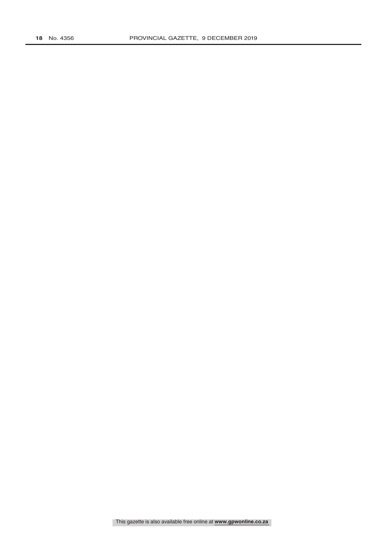This gazette is also available free online at **www.gpwonline.co.za**